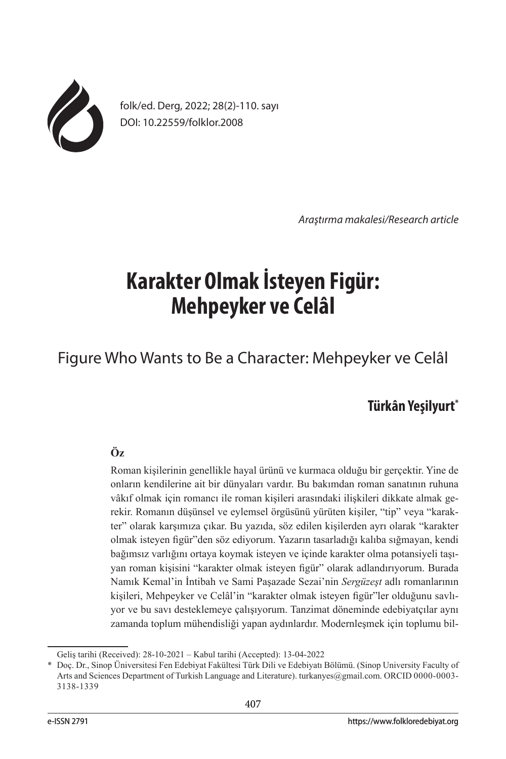

folk/ed. Derg, 2022; 28(2)-110. sayı DOI: 10.22559/folklor.2008

*Araştırma makalesi/Research article*

# **Karakter Olmak İsteyen Figür: Mehpeyker ve Celâl**

Figure Who Wants to Be a Character: Mehpeyker ve Celâl

## **Türkân Yeşilyurt\***

## **Öz**

Roman kişilerinin genellikle hayal ürünü ve kurmaca olduğu bir gerçektir. Yine de onların kendilerine ait bir dünyaları vardır. Bu bakımdan roman sanatının ruhuna vâkıf olmak için romancı ile roman kişileri arasındaki ilişkileri dikkate almak gerekir. Romanın düşünsel ve eylemsel örgüsünü yürüten kişiler, "tip" veya "karakter" olarak karşımıza çıkar. Bu yazıda, söz edilen kişilerden ayrı olarak "karakter olmak isteyen figür"den söz ediyorum. Yazarın tasarladığı kalıba sığmayan, kendi bağımsız varlığını ortaya koymak isteyen ve içinde karakter olma potansiyeli taşıyan roman kişisini "karakter olmak isteyen figür" olarak adlandırıyorum. Burada Namık Kemal'in İntibah ve Sami Paşazade Sezai'nin *Sergüzeşt* adlı romanlarının kişileri, Mehpeyker ve Celâl'in "karakter olmak isteyen figür"ler olduğunu savlıyor ve bu savı desteklemeye çalışıyorum. Tanzimat döneminde edebiyatçılar aynı zamanda toplum mühendisliği yapan aydınlardır. Modernleşmek için toplumu bil-

Geliş tarihi (Received): 28-10-2021 – Kabul tarihi (Accepted): 13-04-2022

<sup>\*</sup> Doç. Dr., Sinop Üniversitesi Fen Edebiyat Fakültesi Türk Dili ve Edebiyatı Bölümü. (Sinop University Faculty of Arts and Sciences Department of Turkish Language and Literature). turkanyes@gmail.com. ORCID 0000-0003-3138-1339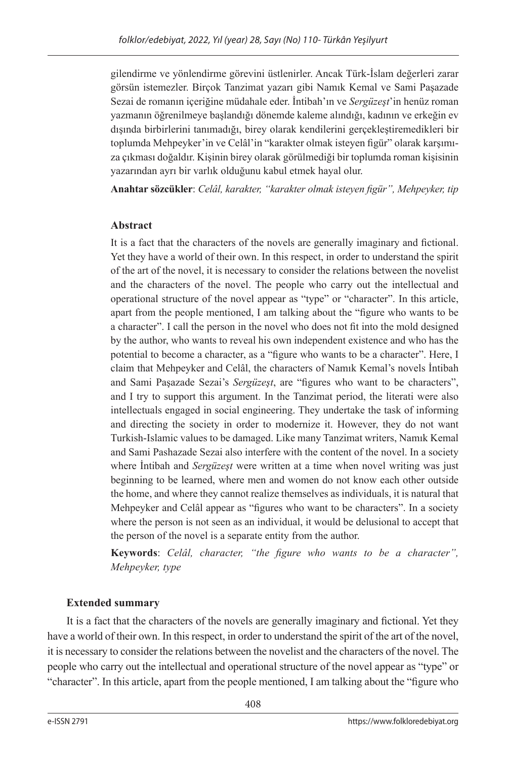gilendirme ve yönlendirme görevini üstlenirler. Ancak Türk-İslam değerleri zarar görsün istemezler. Birçok Tanzimat yazarı gibi Namık Kemal ve Sami Paşazade Sezai de romanın içeriğine müdahale eder. İntibah'ın ve *Sergüzeşt*'in henüz roman yazmanın öğrenilmeye başlandığı dönemde kaleme alındığı, kadının ve erkeğin ev dışında birbirlerini tanımadığı, birey olarak kendilerini gerçekleştiremedikleri bir toplumda Mehpeyker'in ve Celâl'in "karakter olmak isteyen figür" olarak karşımıza çıkması doğaldır. Kişinin birey olarak görülmediği bir toplumda roman kişisinin yazarından ayrı bir varlık olduğunu kabul etmek hayal olur.

**Anahtar sözcükler**: *Celâl, karakter, "karakter olmak isteyen figür", Mehpeyker, tip*

## **Abstract**

It is a fact that the characters of the novels are generally imaginary and fictional. Yet they have a world of their own. In this respect, in order to understand the spirit of the art of the novel, it is necessary to consider the relations between the novelist and the characters of the novel. The people who carry out the intellectual and operational structure of the novel appear as "type" or "character". In this article, apart from the people mentioned, I am talking about the "figure who wants to be a character". I call the person in the novel who does not fit into the mold designed by the author, who wants to reveal his own independent existence and who has the potential to become a character, as a "figure who wants to be a character". Here, I claim that Mehpeyker and Celâl, the characters of Namık Kemal's novels İntibah and Sami Paşazade Sezai's *Sergüzeşt*, are "figures who want to be characters", and I try to support this argument. In the Tanzimat period, the literati were also intellectuals engaged in social engineering. They undertake the task of informing and directing the society in order to modernize it. However, they do not want Turkish-Islamic values to be damaged. Like many Tanzimat writers, Namık Kemal and Sami Pashazade Sezai also interfere with the content of the novel. In a society where İntibah and *Sergüzeşt* were written at a time when novel writing was just beginning to be learned, where men and women do not know each other outside the home, and where they cannot realize themselves as individuals, it is natural that Mehpeyker and Celâl appear as "figures who want to be characters". In a society where the person is not seen as an individual, it would be delusional to accept that the person of the novel is a separate entity from the author.

**Keywords**: *Celâl, character, "the figure who wants to be a character", Mehpeyker, type*

## **Extended summary**

It is a fact that the characters of the novels are generally imaginary and fictional. Yet they have a world of their own. In this respect, in order to understand the spirit of the art of the novel, it is necessary to consider the relations between the novelist and the characters of the novel. The people who carry out the intellectual and operational structure of the novel appear as "type" or "character". In this article, apart from the people mentioned, I am talking about the "figure who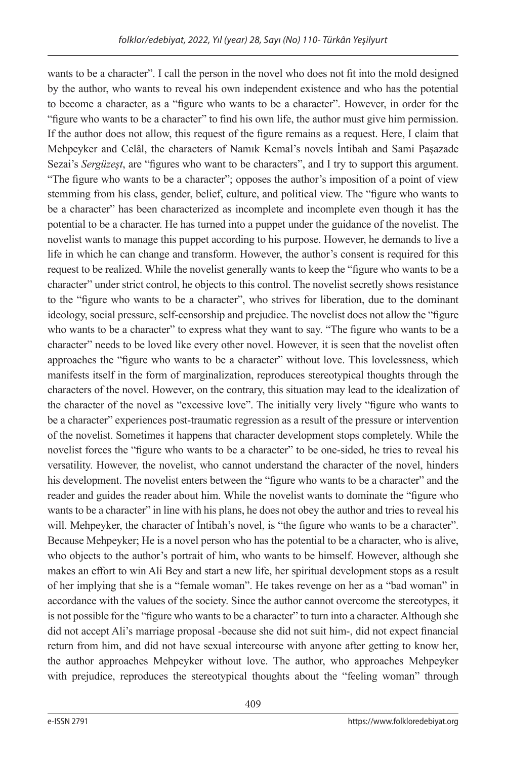wants to be a character". I call the person in the novel who does not fit into the mold designed by the author, who wants to reveal his own independent existence and who has the potential to become a character, as a "figure who wants to be a character". However, in order for the "figure who wants to be a character" to find his own life, the author must give him permission. If the author does not allow, this request of the figure remains as a request. Here, I claim that Mehpeyker and Celâl, the characters of Namık Kemal's novels İntibah and Sami Paşazade Sezai's *Sergüzeşt*, are "figures who want to be characters", and I try to support this argument. "The figure who wants to be a character"; opposes the author's imposition of a point of view stemming from his class, gender, belief, culture, and political view. The "figure who wants to be a character" has been characterized as incomplete and incomplete even though it has the potential to be a character. He has turned into a puppet under the guidance of the novelist. The novelist wants to manage this puppet according to his purpose. However, he demands to live a life in which he can change and transform. However, the author's consent is required for this request to be realized. While the novelist generally wants to keep the "figure who wants to be a character" under strict control, he objects to this control. The novelist secretly shows resistance to the "figure who wants to be a character", who strives for liberation, due to the dominant ideology, social pressure, self-censorship and prejudice. The novelist does not allow the "figure who wants to be a character" to express what they want to say. "The figure who wants to be a character" needs to be loved like every other novel. However, it is seen that the novelist often approaches the "figure who wants to be a character" without love. This lovelessness, which manifests itself in the form of marginalization, reproduces stereotypical thoughts through the characters of the novel. However, on the contrary, this situation may lead to the idealization of the character of the novel as "excessive love". The initially very lively "figure who wants to be a character" experiences post-traumatic regression as a result of the pressure or intervention of the novelist. Sometimes it happens that character development stops completely. While the novelist forces the "figure who wants to be a character" to be one-sided, he tries to reveal his versatility. However, the novelist, who cannot understand the character of the novel, hinders his development. The novelist enters between the "figure who wants to be a character" and the reader and guides the reader about him. While the novelist wants to dominate the "figure who wants to be a character" in line with his plans, he does not obey the author and tries to reveal his will. Mehpeyker, the character of Intibah's novel, is "the figure who wants to be a character". Because Mehpeyker; He is a novel person who has the potential to be a character, who is alive, who objects to the author's portrait of him, who wants to be himself. However, although she makes an effort to win Ali Bey and start a new life, her spiritual development stops as a result of her implying that she is a "female woman". He takes revenge on her as a "bad woman" in accordance with the values of the society. Since the author cannot overcome the stereotypes, it is not possible for the "figure who wants to be a character" to turn into a character. Although she did not accept Ali's marriage proposal -because she did not suit him-, did not expect financial return from him, and did not have sexual intercourse with anyone after getting to know her, the author approaches Mehpeyker without love. The author, who approaches Mehpeyker with prejudice, reproduces the stereotypical thoughts about the "feeling woman" through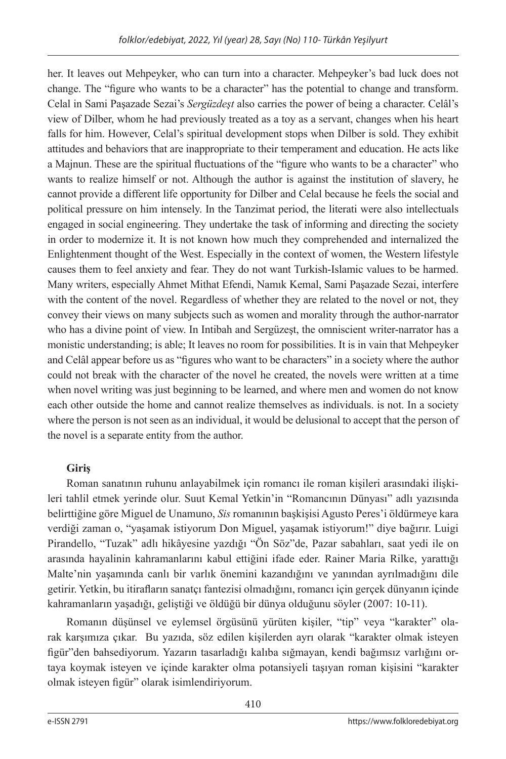her. It leaves out Mehpeyker, who can turn into a character. Mehpeyker's bad luck does not change. The "figure who wants to be a character" has the potential to change and transform. Celal in Sami Paşazade Sezai's *Sergüzdeşt* also carries the power of being a character. Celâl's view of Dilber, whom he had previously treated as a toy as a servant, changes when his heart falls for him. However, Celal's spiritual development stops when Dilber is sold. They exhibit attitudes and behaviors that are inappropriate to their temperament and education. He acts like a Majnun. These are the spiritual fluctuations of the "figure who wants to be a character" who wants to realize himself or not. Although the author is against the institution of slavery, he cannot provide a different life opportunity for Dilber and Celal because he feels the social and political pressure on him intensely. In the Tanzimat period, the literati were also intellectuals engaged in social engineering. They undertake the task of informing and directing the society in order to modernize it. It is not known how much they comprehended and internalized the Enlightenment thought of the West. Especially in the context of women, the Western lifestyle causes them to feel anxiety and fear. They do not want Turkish-Islamic values to be harmed. Many writers, especially Ahmet Mithat Efendi, Namık Kemal, Sami Paşazade Sezai, interfere with the content of the novel. Regardless of whether they are related to the novel or not, they convey their views on many subjects such as women and morality through the author-narrator who has a divine point of view. In Intibah and Sergüzeşt, the omniscient writer-narrator has a monistic understanding; is able; It leaves no room for possibilities. It is in vain that Mehpeyker and Celâl appear before us as "figures who want to be characters" in a society where the author could not break with the character of the novel he created, the novels were written at a time when novel writing was just beginning to be learned, and where men and women do not know each other outside the home and cannot realize themselves as individuals. is not. In a society where the person is not seen as an individual, it would be delusional to accept that the person of the novel is a separate entity from the author.

## **Giriş**

Roman sanatının ruhunu anlayabilmek için romancı ile roman kişileri arasındaki ilişkileri tahlil etmek yerinde olur. Suut Kemal Yetkin'in "Romancının Dünyası" adlı yazısında belirttiğine göre Miguel de Unamuno, *Sis* romanının başkişisi Agusto Peres'i öldürmeye kara verdiği zaman o, "yaşamak istiyorum Don Miguel, yaşamak istiyorum!" diye bağırır. Luigi Pirandello, "Tuzak" adlı hikâyesine yazdığı "Ön Söz"de, Pazar sabahları, saat yedi ile on arasında hayalinin kahramanlarını kabul ettiğini ifade eder. Rainer Maria Rilke, yarattığı Malte'nin yaşamında canlı bir varlık önemini kazandığını ve yanından ayrılmadığını dile getirir. Yetkin, bu itirafların sanatçı fantezisi olmadığını, romancı için gerçek dünyanın içinde kahramanların yaşadığı, geliştiği ve öldüğü bir dünya olduğunu söyler (2007: 10-11).

Romanın düşünsel ve eylemsel örgüsünü yürüten kişiler, "tip" veya "karakter" olarak karşımıza çıkar. Bu yazıda, söz edilen kişilerden ayrı olarak "karakter olmak isteyen figür"den bahsediyorum. Yazarın tasarladığı kalıba sığmayan, kendi bağımsız varlığını ortaya koymak isteyen ve içinde karakter olma potansiyeli taşıyan roman kişisini "karakter olmak isteyen figür" olarak isimlendiriyorum.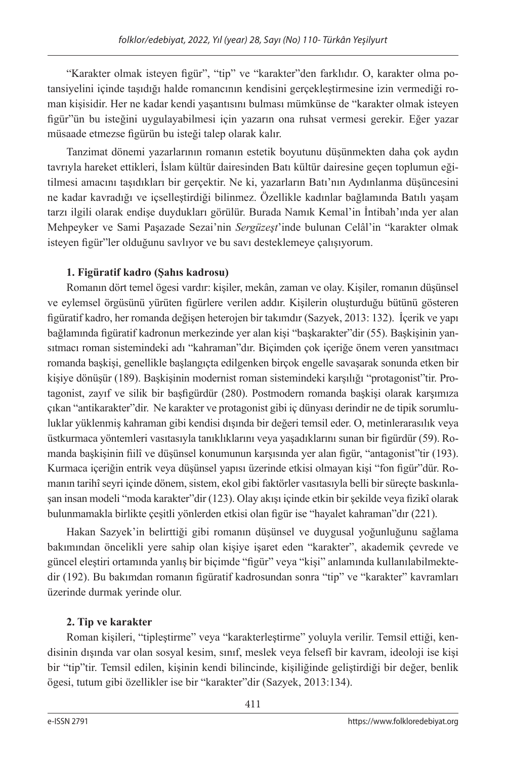"Karakter olmak isteyen figür", "tip" ve "karakter"den farklıdır. O, karakter olma potansiyelini içinde taşıdığı halde romancının kendisini gerçekleştirmesine izin vermediği roman kişisidir. Her ne kadar kendi yaşantısını bulması mümkünse de "karakter olmak isteyen figür"ün bu isteğini uygulayabilmesi için yazarın ona ruhsat vermesi gerekir. Eğer yazar müsaade etmezse figürün bu isteği talep olarak kalır.

Tanzimat dönemi yazarlarının romanın estetik boyutunu düşünmekten daha çok aydın tavrıyla hareket ettikleri, İslam kültür dairesinden Batı kültür dairesine geçen toplumun eğitilmesi amacını taşıdıkları bir gerçektir. Ne ki, yazarların Batı'nın Aydınlanma düşüncesini ne kadar kavradığı ve içselleştirdiği bilinmez. Özellikle kadınlar bağlamında Batılı yaşam tarzı ilgili olarak endişe duydukları görülür. Burada Namık Kemal'in İntibah'ında yer alan Mehpeyker ve Sami Paşazade Sezai'nin *Sergüzeşt*'inde bulunan Celâl'in "karakter olmak isteyen figür"ler olduğunu savlıyor ve bu savı desteklemeye çalışıyorum.

## **1. Figüratif kadro (Şahıs kadrosu)**

Romanın dört temel ögesi vardır: kişiler, mekân, zaman ve olay. Kişiler, romanın düşünsel ve eylemsel örgüsünü yürüten figürlere verilen addır. Kişilerin oluşturduğu bütünü gösteren figüratif kadro, her romanda değişen heterojen bir takımdır (Sazyek, 2013: 132). İçerik ve yapı bağlamında figüratif kadronun merkezinde yer alan kişi "başkarakter"dir (55). Başkişinin yansıtmacı roman sistemindeki adı "kahraman"dır. Biçimden çok içeriğe önem veren yansıtmacı romanda başkişi, genellikle başlangıçta edilgenken birçok engelle savaşarak sonunda etken bir kişiye dönüşür (189). Başkişinin modernist roman sistemindeki karşılığı "protagonist"tir. Protagonist, zayıf ve silik bir başfigürdür (280). Postmodern romanda başkişi olarak karşımıza çıkan "antikarakter"dir. Ne karakter ve protagonist gibi iç dünyası derindir ne de tipik sorumluluklar yüklenmiş kahraman gibi kendisi dışında bir değeri temsil eder. O, metinlerarasılık veya üstkurmaca yöntemleri vasıtasıyla tanıklıklarını veya yaşadıklarını sunan bir figürdür (59). Romanda başkişinin fiilî ve düşünsel konumunun karşısında yer alan figür, "antagonist"tir (193). Kurmaca içeriğin entrik veya düşünsel yapısı üzerinde etkisi olmayan kişi "fon figür"dür. Romanın tarihî seyri içinde dönem, sistem, ekol gibi faktörler vasıtasıyla belli bir süreçte baskınlaşan insan modeli "moda karakter"dir (123). Olay akışı içinde etkin bir şekilde veya fizikî olarak bulunmamakla birlikte çeşitli yönlerden etkisi olan figür ise "hayalet kahraman"dır (221).

Hakan Sazyek'in belirttiği gibi romanın düşünsel ve duygusal yoğunluğunu sağlama bakımından öncelikli yere sahip olan kişiye işaret eden "karakter", akademik çevrede ve güncel eleştiri ortamında yanlış bir biçimde "figür" veya "kişi" anlamında kullanılabilmektedir (192). Bu bakımdan romanın figüratif kadrosundan sonra "tip" ve "karakter" kavramları üzerinde durmak yerinde olur.

## **2. Tip ve karakter**

Roman kişileri, "tipleştirme" veya "karakterleştirme" yoluyla verilir. Temsil ettiği, kendisinin dışında var olan sosyal kesim, sınıf, meslek veya felsefî bir kavram, ideoloji ise kişi bir "tip"tir. Temsil edilen, kişinin kendi bilincinde, kişiliğinde geliştirdiği bir değer, benlik ögesi, tutum gibi özellikler ise bir "karakter"dir (Sazyek, 2013:134).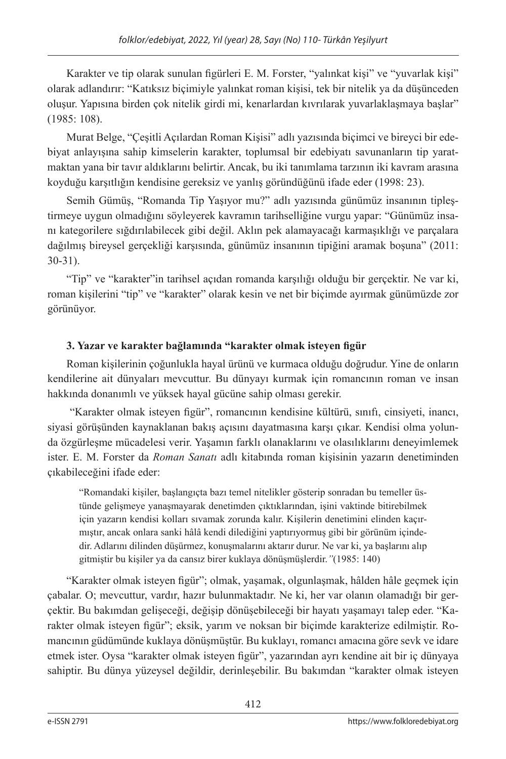Karakter ve tip olarak sunulan figürleri E. M. Forster, "yalınkat kişi" ve "yuvarlak kişi" olarak adlandırır: "Katıksız biçimiyle yalınkat roman kişisi, tek bir nitelik ya da düşünceden oluşur. Yapısına birden çok nitelik girdi mi, kenarlardan kıvrılarak yuvarlaklaşmaya başlar" (1985: 108).

Murat Belge, "Çeşitli Açılardan Roman Kişisi" adlı yazısında biçimci ve bireyci bir edebiyat anlayışına sahip kimselerin karakter, toplumsal bir edebiyatı savunanların tip yaratmaktan yana bir tavır aldıklarını belirtir. Ancak, bu iki tanımlama tarzının iki kavram arasına koyduğu karşıtlığın kendisine gereksiz ve yanlış göründüğünü ifade eder (1998: 23).

Semih Gümüş, "Romanda Tip Yaşıyor mu?" adlı yazısında günümüz insanının tipleştirmeye uygun olmadığını söyleyerek kavramın tarihselliğine vurgu yapar: "Günümüz insanı kategorilere sığdırılabilecek gibi değil. Aklın pek alamayacağı karmaşıklığı ve parçalara dağılmış bireysel gerçekliği karşısında, günümüz insanının tipiğini aramak boşuna" (2011: 30-31).

"Tip" ve "karakter"in tarihsel açıdan romanda karşılığı olduğu bir gerçektir. Ne var ki, roman kişilerini "tip" ve "karakter" olarak kesin ve net bir biçimde ayırmak günümüzde zor görünüyor.

## **3. Yazar ve karakter bağlamında "karakter olmak isteyen figür**

Roman kişilerinin çoğunlukla hayal ürünü ve kurmaca olduğu doğrudur. Yine de onların kendilerine ait dünyaları mevcuttur. Bu dünyayı kurmak için romancının roman ve insan hakkında donanımlı ve yüksek hayal gücüne sahip olması gerekir.

 "Karakter olmak isteyen figür", romancının kendisine kültürü, sınıfı, cinsiyeti, inancı, siyasi görüşünden kaynaklanan bakış açısını dayatmasına karşı çıkar. Kendisi olma yolunda özgürleşme mücadelesi verir. Yaşamın farklı olanaklarını ve olasılıklarını deneyimlemek ister. E. M. Forster da *Roman Sanatı* adlı kitabında roman kişisinin yazarın denetiminden çıkabileceğini ifade eder:

"Romandaki kişiler, başlangıçta bazı temel nitelikler gösterip sonradan bu temeller üstünde gelişmeye yanaşmayarak denetimden çıktıklarından, işini vaktinde bitirebilmek için yazarın kendisi kolları sıvamak zorunda kalır. Kişilerin denetimini elinden kaçırmıştır, ancak onlara sanki hâlâ kendi dilediğini yaptırıyormuş gibi bir görünüm içindedir. Adlarını dilinden düşürmez, konuşmalarını aktarır durur. Ne var ki, ya başlarını alıp gitmiştir bu kişiler ya da cansız birer kuklaya dönüşmüşlerdir.*"*(1985: 140)

"Karakter olmak isteyen figür"; olmak, yaşamak, olgunlaşmak, hâlden hâle geçmek için çabalar. O; mevcuttur, vardır, hazır bulunmaktadır. Ne ki, her var olanın olamadığı bir gerçektir. Bu bakımdan gelişeceği, değişip dönüşebileceği bir hayatı yaşamayı talep eder. "Karakter olmak isteyen figür"; eksik, yarım ve noksan bir biçimde karakterize edilmiştir. Romancının güdümünde kuklaya dönüşmüştür. Bu kuklayı, romancı amacına göre sevk ve idare etmek ister. Oysa "karakter olmak isteyen figür", yazarından ayrı kendine ait bir iç dünyaya sahiptir. Bu dünya yüzeysel değildir, derinleşebilir. Bu bakımdan "karakter olmak isteyen

412 413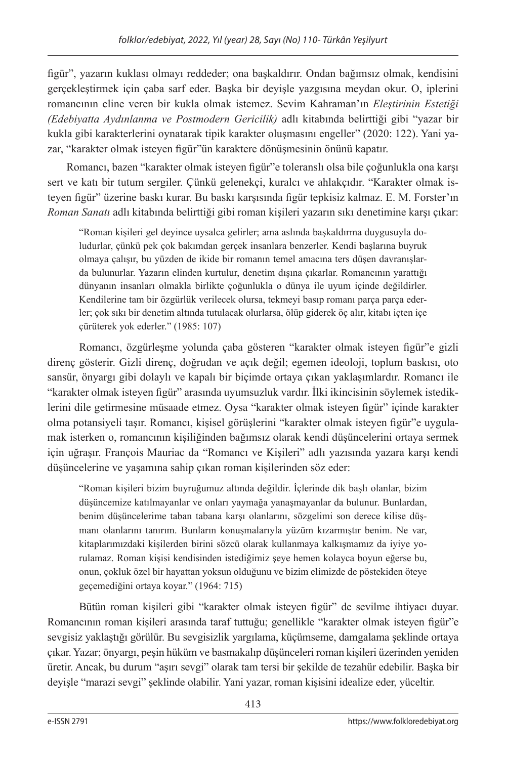figür", yazarın kuklası olmayı reddeder; ona başkaldırır. Ondan bağımsız olmak, kendisini gerçekleştirmek için çaba sarf eder. Başka bir deyişle yazgısına meydan okur. O, iplerini romancının eline veren bir kukla olmak istemez. Sevim Kahraman'ın *Eleştirinin Estetiği (Edebiyatta Aydınlanma ve Postmodern Gericilik)* adlı kitabında belirttiği gibi "yazar bir kukla gibi karakterlerini oynatarak tipik karakter oluşmasını engeller" (2020: 122). Yani yazar, "karakter olmak isteyen figür"ün karaktere dönüşmesinin önünü kapatır.

Romancı, bazen "karakter olmak isteyen figür"e toleranslı olsa bile çoğunlukla ona karşı sert ve katı bir tutum sergiler. Çünkü gelenekçi, kuralcı ve ahlakçıdır. "Karakter olmak isteyen figür" üzerine baskı kurar. Bu baskı karşısında figür tepkisiz kalmaz. E. M. Forster'ın *Roman Sanatı* adlı kitabında belirttiği gibi roman kişileri yazarın sıkı denetimine karşı çıkar:

"Roman kişileri gel deyince uysalca gelirler; ama aslında başkaldırma duygusuyla doludurlar, çünkü pek çok bakımdan gerçek insanlara benzerler. Kendi başlarına buyruk olmaya çalışır, bu yüzden de ikide bir romanın temel amacına ters düşen davranışlarda bulunurlar. Yazarın elinden kurtulur, denetim dışına çıkarlar. Romancının yarattığı dünyanın insanları olmakla birlikte çoğunlukla o dünya ile uyum içinde değildirler. Kendilerine tam bir özgürlük verilecek olursa, tekmeyi basıp romanı parça parça ederler; çok sıkı bir denetim altında tutulacak olurlarsa, ölüp giderek öç alır, kitabı içten içe çürüterek yok ederler." (1985: 107)

Romancı, özgürleşme yolunda çaba gösteren "karakter olmak isteyen figür"e gizli direnç gösterir. Gizli direnç, doğrudan ve açık değil; egemen ideoloji, toplum baskısı, oto sansür, önyargı gibi dolaylı ve kapalı bir biçimde ortaya çıkan yaklaşımlardır. Romancı ile "karakter olmak isteyen figür" arasında uyumsuzluk vardır. İlki ikincisinin söylemek istediklerini dile getirmesine müsaade etmez. Oysa "karakter olmak isteyen figür" içinde karakter olma potansiyeli taşır. Romancı, kişisel görüşlerini "karakter olmak isteyen figür"e uygulamak isterken o, romancının kişiliğinden bağımsız olarak kendi düşüncelerini ortaya sermek için uğraşır. François Mauriac da "Romancı ve Kişileri" adlı yazısında yazara karşı kendi düşüncelerine ve yaşamına sahip çıkan roman kişilerinden söz eder:

"Roman kişileri bizim buyruğumuz altında değildir. İçlerinde dik başlı olanlar, bizim düşüncemize katılmayanlar ve onları yaymağa yanaşmayanlar da bulunur. Bunlardan, benim düşüncelerime taban tabana karşı olanlarını, sözgelimi son derece kilise düşmanı olanlarını tanırım. Bunların konuşmalarıyla yüzüm kızarmıştır benim. Ne var, kitaplarımızdaki kişilerden birini sözcü olarak kullanmaya kalkışmamız da iyiye yorulamaz. Roman kişisi kendisinden istediğimiz şeye hemen kolayca boyun eğerse bu, onun, çokluk özel bir hayattan yoksun olduğunu ve bizim elimizde de pöstekiden öteye geçemediğini ortaya koyar." (1964: 715)

Bütün roman kişileri gibi "karakter olmak isteyen figür" de sevilme ihtiyacı duyar. Romancının roman kişileri arasında taraf tuttuğu; genellikle "karakter olmak isteyen figür"e sevgisiz yaklaştığı görülür. Bu sevgisizlik yargılama, küçümseme, damgalama şeklinde ortaya çıkar. Yazar; önyargı, peşin hüküm ve basmakalıp düşünceleri roman kişileri üzerinden yeniden üretir. Ancak, bu durum "aşırı sevgi" olarak tam tersi bir şekilde de tezahür edebilir. Başka bir deyişle "marazi sevgi" şeklinde olabilir. Yani yazar, roman kişisini idealize eder, yüceltir.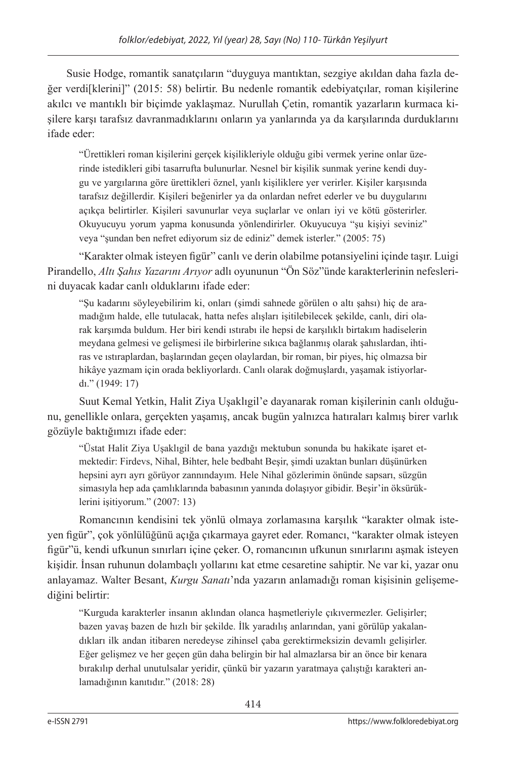Susie Hodge, romantik sanatçıların "duyguya mantıktan, sezgiye akıldan daha fazla değer verdi[klerini]" (2015: 58) belirtir. Bu nedenle romantik edebiyatçılar, roman kişilerine akılcı ve mantıklı bir biçimde yaklaşmaz. Nurullah Çetin, romantik yazarların kurmaca kişilere karşı tarafsız davranmadıklarını onların ya yanlarında ya da karşılarında durduklarını ifade eder:

"Ürettikleri roman kişilerini gerçek kişilikleriyle olduğu gibi vermek yerine onlar üzerinde istedikleri gibi tasarrufta bulunurlar. Nesnel bir kişilik sunmak yerine kendi duygu ve yargılarına göre ürettikleri öznel, yanlı kişiliklere yer verirler. Kişiler karşısında tarafsız değillerdir. Kişileri beğenirler ya da onlardan nefret ederler ve bu duygularını açıkça belirtirler. Kişileri savunurlar veya suçlarlar ve onları iyi ve kötü gösterirler. Okuyucuyu yorum yapma konusunda yönlendirirler. Okuyucuya "şu kişiyi seviniz" veya "şundan ben nefret ediyorum siz de ediniz" demek isterler." (2005: 75)

"Karakter olmak isteyen figür" canlı ve derin olabilme potansiyelini içinde taşır. Luigi Pirandello, *Altı Şahıs Yazarını Arıyor* adlı oyununun "Ön Söz"ünde karakterlerinin nefeslerini duyacak kadar canlı olduklarını ifade eder:

"Şu kadarını söyleyebilirim ki, onları (şimdi sahnede görülen o altı şahsı) hiç de aramadığım halde, elle tutulacak, hatta nefes alışları işitilebilecek şekilde, canlı, diri olarak karşımda buldum. Her biri kendi ıstırabı ile hepsi de karşılıklı birtakım hadiselerin meydana gelmesi ve gelişmesi ile birbirlerine sıkıca bağlanmış olarak şahıslardan, ihtiras ve ıstıraplardan, başlarından geçen olaylardan, bir roman, bir piyes, hiç olmazsa bir hikâye yazmam için orada bekliyorlardı. Canlı olarak doğmuşlardı, yaşamak istiyorlardı." (1949: 17)

Suut Kemal Yetkin, Halit Ziya Uşaklıgil'e dayanarak roman kişilerinin canlı olduğunu, genellikle onlara, gerçekten yaşamış, ancak bugün yalnızca hatıraları kalmış birer varlık gözüyle baktığımızı ifade eder:

"Üstat Halit Ziya Uşaklıgil de bana yazdığı mektubun sonunda bu hakikate işaret etmektedir: Firdevs, Nihal, Bihter, hele bedbaht Beşir, şimdi uzaktan bunları düşünürken hepsini ayrı ayrı görüyor zannındayım. Hele Nihal gözlerimin önünde sapsarı, süzgün simasıyla hep ada çamlıklarında babasının yanında dolaşıyor gibidir. Beşir'in öksürüklerini işitiyorum." (2007: 13)

Romancının kendisini tek yönlü olmaya zorlamasına karşılık "karakter olmak isteyen figür", çok yönlülüğünü açığa çıkarmaya gayret eder. Romancı, "karakter olmak isteyen figür"ü, kendi ufkunun sınırları içine çeker. O, romancının ufkunun sınırlarını aşmak isteyen kişidir. İnsan ruhunun dolambaçlı yollarını kat etme cesaretine sahiptir. Ne var ki, yazar onu anlayamaz. Walter Besant, *Kurgu Sanatı*'nda yazarın anlamadığı roman kişisinin gelişemediğini belirtir:

"Kurguda karakterler insanın aklından olanca haşmetleriyle çıkıvermezler. Gelişirler; bazen yavaş bazen de hızlı bir şekilde. İlk yaradılış anlarından, yani görülüp yakalandıkları ilk andan itibaren neredeyse zihinsel çaba gerektirmeksizin devamlı gelişirler. Eğer gelişmez ve her geçen gün daha belirgin bir hal almazlarsa bir an önce bir kenara bırakılıp derhal unutulsalar yeridir, çünkü bir yazarın yaratmaya çalıştığı karakteri anlamadığının kanıtıdır." (2018: 28)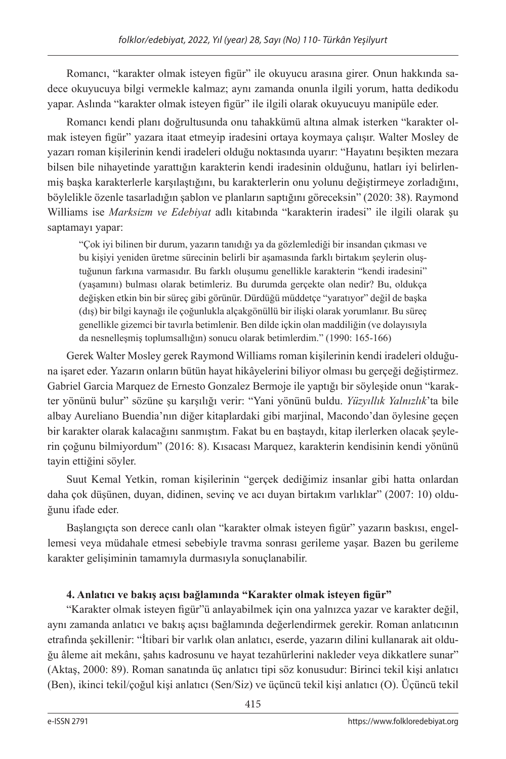Romancı, "karakter olmak isteyen figür" ile okuyucu arasına girer. Onun hakkında sadece okuyucuya bilgi vermekle kalmaz; aynı zamanda onunla ilgili yorum, hatta dedikodu yapar. Aslında "karakter olmak isteyen figür" ile ilgili olarak okuyucuyu manipüle eder.

Romancı kendi planı doğrultusunda onu tahakkümü altına almak isterken "karakter olmak isteyen figür" yazara itaat etmeyip iradesini ortaya koymaya çalışır. Walter Mosley de yazarı roman kişilerinin kendi iradeleri olduğu noktasında uyarır: "Hayatını beşikten mezara bilsen bile nihayetinde yarattığın karakterin kendi iradesinin olduğunu, hatları iyi belirlenmiş başka karakterlerle karşılaştığını, bu karakterlerin onu yolunu değiştirmeye zorladığını, böylelikle özenle tasarladığın şablon ve planların saptığını göreceksin" (2020: 38). Raymond Williams ise *Marksizm ve Edebiyat* adlı kitabında "karakterin iradesi" ile ilgili olarak şu saptamayı yapar:

"Çok iyi bilinen bir durum, yazarın tanıdığı ya da gözlemlediği bir insandan çıkması ve bu kişiyi yeniden üretme sürecinin belirli bir aşamasında farklı birtakım şeylerin oluştuğunun farkına varmasıdır. Bu farklı oluşumu genellikle karakterin "kendi iradesini" (yaşamını) bulması olarak betimleriz. Bu durumda gerçekte olan nedir? Bu, oldukça değişken etkin bin bir süreç gibi görünür. Dürdüğü müddetçe "yaratıyor" değil de başka (dış) bir bilgi kaynağı ile çoğunlukla alçakgönüllü bir ilişki olarak yorumlanır. Bu süreç genellikle gizemci bir tavırla betimlenir. Ben dilde içkin olan maddiliğin (ve dolayısıyla da nesnelleşmiş toplumsallığın) sonucu olarak betimlerdim." (1990: 165-166)

Gerek Walter Mosley gerek Raymond Williams roman kişilerinin kendi iradeleri olduğuna işaret eder. Yazarın onların bütün hayat hikâyelerini biliyor olması bu gerçeği değiştirmez. Gabriel Garcia Marquez de Ernesto Gonzalez Bermoje ile yaptığı bir söyleşide onun "karakter yönünü bulur" sözüne şu karşılığı verir: "Yani yönünü buldu. *Yüzyıllık Yalnızlık*'ta bile albay Aureliano Buendia'nın diğer kitaplardaki gibi marjinal, Macondo'dan öylesine geçen bir karakter olarak kalacağını sanmıştım. Fakat bu en baştaydı, kitap ilerlerken olacak şeylerin çoğunu bilmiyordum" (2016: 8). Kısacası Marquez, karakterin kendisinin kendi yönünü tayin ettiğini söyler.

Suut Kemal Yetkin, roman kişilerinin "gerçek dediğimiz insanlar gibi hatta onlardan daha çok düşünen, duyan, didinen, sevinç ve acı duyan birtakım varlıklar" (2007: 10) olduğunu ifade eder.

Başlangıçta son derece canlı olan "karakter olmak isteyen figür" yazarın baskısı, engellemesi veya müdahale etmesi sebebiyle travma sonrası gerileme yaşar. Bazen bu gerileme karakter gelişiminin tamamıyla durmasıyla sonuçlanabilir.

## **4. Anlatıcı ve bakış açısı bağlamında "Karakter olmak isteyen figür"**

"Karakter olmak isteyen figür"ü anlayabilmek için ona yalnızca yazar ve karakter değil, aynı zamanda anlatıcı ve bakış açısı bağlamında değerlendirmek gerekir. Roman anlatıcının etrafında şekillenir: "İtibari bir varlık olan anlatıcı, eserde, yazarın dilini kullanarak ait olduğu âleme ait mekânı, şahıs kadrosunu ve hayat tezahürlerini nakleder veya dikkatlere sunar" (Aktaş, 2000: 89). Roman sanatında üç anlatıcı tipi söz konusudur: Birinci tekil kişi anlatıcı (Ben), ikinci tekil/çoğul kişi anlatıcı (Sen/Siz) ve üçüncü tekil kişi anlatıcı (O). Üçüncü tekil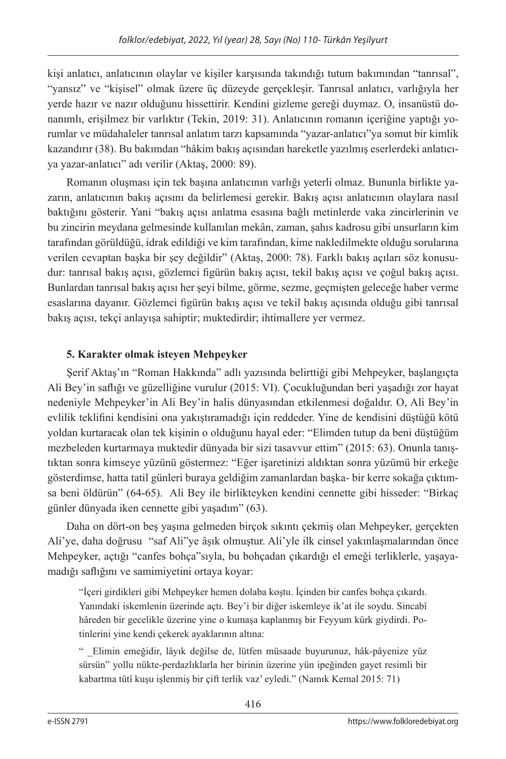kişi anlatıcı, anlatıcının olaylar ve kişiler karşısında takındığı tutum bakımından "tanrısal", "yansız" ve "kişisel" olmak üzere üç düzeyde gerçekleşir. Tanrısal anlatıcı, varlığıyla her yerde hazır ve nazır olduğunu hissettirir. Kendini gizleme gereği duymaz. O, insanüstü donanımlı, erişilmez bir varlıktır (Tekin, 2019: 31). Anlatıcının romanın içeriğine yaptığı yorumlar ve müdahaleler tanrısal anlatım tarzı kapsamında "yazar-anlatıcı"ya somut bir kimlik kazandırır (38). Bu bakımdan "hâkim bakış açısından hareketle yazılmış eserlerdeki anlatıcıya yazar-anlatıcı" adı verilir (Aktaş, 2000: 89).

Romanın oluşması için tek başına anlatıcının varlığı yeterli olmaz. Bununla birlikte yazarın, anlatıcının bakış açısını da belirlemesi gerekir. Bakış açısı anlatıcının olaylara nasıl baktığını gösterir. Yani "bakış açısı anlatma esasına bağlı metinlerde vaka zincirlerinin ve bu zincirin meydana gelmesinde kullanılan mekân, zaman, şahıs kadrosu gibi unsurların kim tarafından görüldüğü, idrak edildiği ve kim tarafından, kime nakledilmekte olduğu sorularına verilen cevaptan başka bir şey değildir" (Aktaş, 2000: 78). Farklı bakış açıları söz konusudur: tanrısal bakış açısı, gözlemci figürün bakış açısı, tekil bakış açısı ve çoğul bakış açısı. Bunlardan tanrısal bakış açısı her şeyi bilme, görme, sezme, geçmişten geleceğe haber verme esaslarına dayanır. Gözlemci figürün bakış açısı ve tekil bakış açısında olduğu gibi tanrısal bakış açısı, tekçi anlayışa sahiptir; muktedirdir; ihtimallere yer vermez.

## **5. Karakter olmak isteyen Mehpeyker**

Şerif Aktaş'ın "Roman Hakkında" adlı yazısında belirttiği gibi Mehpeyker, başlangıçta Ali Bey'in saflığı ve güzelliğine vurulur (2015: VI). Çocukluğundan beri yaşadığı zor hayat nedeniyle Mehpeyker'in Ali Bey'in halis dünyasından etkilenmesi doğaldır. O, Ali Bey'in evlilik teklifini kendisini ona yakıştıramadığı için reddeder. Yine de kendisini düştüğü kötü yoldan kurtaracak olan tek kişinin o olduğunu hayal eder: "Elimden tutup da beni düştüğüm mezbeleden kurtarmaya muktedir dünyada bir sizi tasavvur ettim" (2015: 63). Onunla tanıştıktan sonra kimseye yüzünü göstermez: "Eğer işaretinizi aldıktan sonra yüzümü bir erkeğe gösterdimse, hatta tatil günleri buraya geldiğim zamanlardan başka- bir kerre sokağa çıktımsa beni öldürün" (64-65). Ali Bey ile birlikteyken kendini cennette gibi hisseder: "Birkaç günler dünyada iken cennette gibi yaşadım" (63).

Daha on dört-on beş yaşına gelmeden birçok sıkıntı çekmiş olan Mehpeyker, gerçekten Ali'ye, daha doğrusu "saf Ali"ye âşık olmuştur. Ali'yle ilk cinsel yakınlaşmalarından önce Mehpeyker, açtığı "canfes bohça"sıyla, bu bohçadan çıkardığı el emeği terliklerle, yaşayamadığı saflığını ve samimiyetini ortaya koyar:

"İçeri girdikleri gibi Mehpeyker hemen dolaba koştu. İçinden bir canfes bohça çıkardı. Yanındaki iskemlenin üzerinde açtı. Bey'i bir diğer iskemleye ik'at ile soydu. Sincabî hâreden bir gecelikle üzerine yine o kumaşa kaplanmış bir Feyyum kürk giydirdi. Potinlerini yine kendi çekerek ayaklarının altına:

" \_Elimin emeğidir, lâyık değilse de, lütfen müsaade buyurunuz, hâk-pâyenize yüz sürsün" yollu nükte-perdazlıklarla her birinin üzerine yün ipeğinden gayet resimli bir kabartma tûtî kuşu işlenmiş bir çift terlik vaz' eyledi." (Namık Kemal 2015: 71)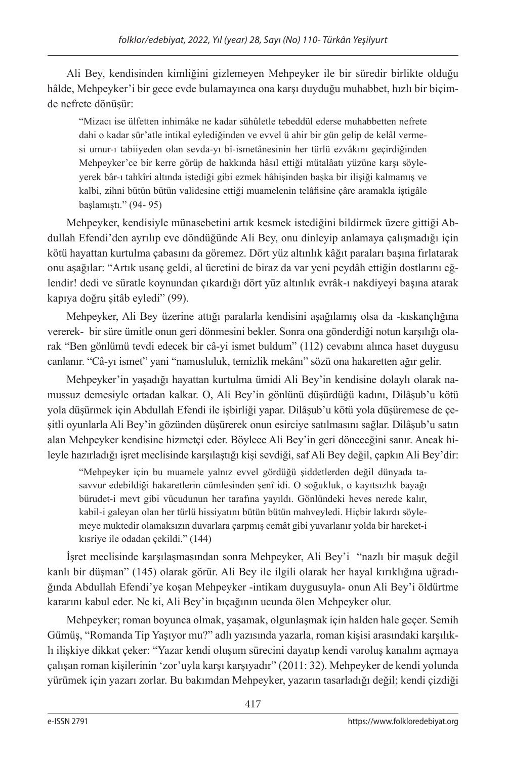Ali Bey, kendisinden kimliğini gizlemeyen Mehpeyker ile bir süredir birlikte olduğu hâlde, Mehpeyker'i bir gece evde bulamayınca ona karşı duyduğu muhabbet, hızlı bir biçimde nefrete dönüşür:

"Mizacı ise ülfetten inhimâke ne kadar sühûletle tebeddül ederse muhabbetten nefrete dahi o kadar sür'atle intikal eylediğinden ve evvel ü ahir bir gün gelip de kelâl vermesi umur-ı tabiiyeden olan sevda-yı bî-ismetânesinin her türlü ezvâkını geçirdiğinden Mehpeyker'ce bir kerre görüp de hakkında hâsıl ettiği mütalâatı yüzüne karşı söyleyerek bâr-ı tahkîri altında istediği gibi ezmek hâhişinden başka bir ilişiği kalmamış ve kalbi, zihni bütün bütün validesine ettiği muamelenin telâfisine çâre aramakla iştigâle başlamıştı." (94- 95)

Mehpeyker, kendisiyle münasebetini artık kesmek istediğini bildirmek üzere gittiği Abdullah Efendi'den ayrılıp eve döndüğünde Ali Bey, onu dinleyip anlamaya çalışmadığı için kötü hayattan kurtulma çabasını da göremez. Dört yüz altınlık kâğıt paraları başına fırlatarak onu aşağılar: "Artık usanç geldi, al ücretini de biraz da var yeni peydâh ettiğin dostlarını eğlendir! dedi ve süratle koynundan çıkardığı dört yüz altınlık evrâk-ı nakdiyeyi başına atarak kapıya doğru şitâb eyledi" (99).

Mehpeyker, Ali Bey üzerine attığı paralarla kendisini aşağılamış olsa da -kıskançlığına vererek- bir süre ümitle onun geri dönmesini bekler. Sonra ona gönderdiği notun karşılığı olarak "Ben gönlümü tevdi edecek bir câ-yi ismet buldum" (112) cevabını alınca haset duygusu canlanır. "Câ-yı ismet" yani "namusluluk, temizlik mekânı" sözü ona hakaretten ağır gelir.

Mehpeyker'in yaşadığı hayattan kurtulma ümidi Ali Bey'in kendisine dolaylı olarak namussuz demesiyle ortadan kalkar. O, Ali Bey'in gönlünü düşürdüğü kadını, Dilâşub'u kötü yola düşürmek için Abdullah Efendi ile işbirliği yapar. Dilâşub'u kötü yola düşüremese de çeşitli oyunlarla Ali Bey'in gözünden düşürerek onun esirciye satılmasını sağlar. Dilâşub'u satın alan Mehpeyker kendisine hizmetçi eder. Böylece Ali Bey'in geri döneceğini sanır. Ancak hileyle hazırladığı işret meclisinde karşılaştığı kişi sevdiği, saf Ali Bey değil, çapkın Ali Bey'dir:

"Mehpeyker için bu muamele yalnız evvel gördüğü şiddetlerden değil dünyada tasavvur edebildiği hakaretlerin cümlesinden şenî idi. O soğukluk, o kayıtsızlık bayağı bürudet-i mevt gibi vücudunun her tarafına yayıldı. Gönlündeki heves nerede kalır, kabil-i galeyan olan her türlü hissiyatını bütün bütün mahveyledi. Hiçbir lakırdı söylemeye muktedir olamaksızın duvarlara çarpmış cemât gibi yuvarlanır yolda bir hareket-i kısriye ile odadan çekildi." (144)

İşret meclisinde karşılaşmasından sonra Mehpeyker, Ali Bey'i "nazlı bir maşuk değil kanlı bir düşman" (145) olarak görür. Ali Bey ile ilgili olarak her hayal kırıklığına uğradığında Abdullah Efendi'ye koşan Mehpeyker -intikam duygusuyla- onun Ali Bey'i öldürtme kararını kabul eder. Ne ki, Ali Bey'in bıçağının ucunda ölen Mehpeyker olur.

Mehpeyker; roman boyunca olmak, yaşamak, olgunlaşmak için halden hale geçer. Semih Gümüş, "Romanda Tip Yaşıyor mu?" adlı yazısında yazarla, roman kişisi arasındaki karşılıklı ilişkiye dikkat çeker: "Yazar kendi oluşum sürecini dayatıp kendi varoluş kanalını açmaya çalışan roman kişilerinin 'zor'uyla karşı karşıyadır" (2011: 32). Mehpeyker de kendi yolunda yürümek için yazarı zorlar. Bu bakımdan Mehpeyker, yazarın tasarladığı değil; kendi çizdiği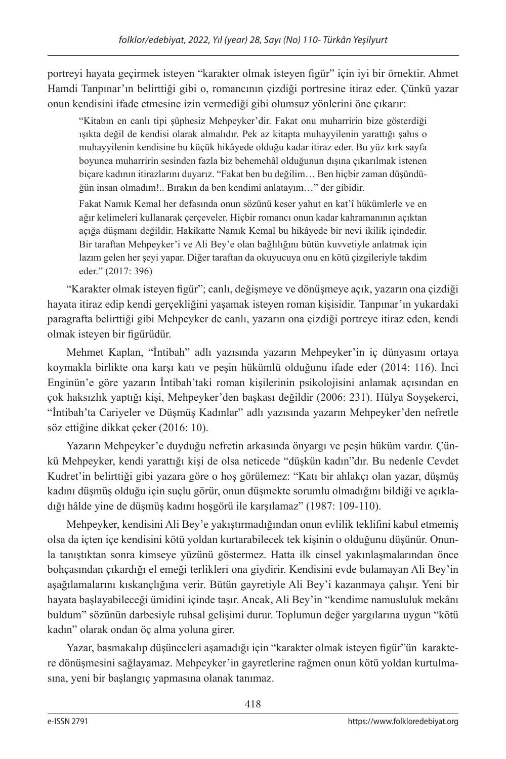portreyi hayata geçirmek isteyen "karakter olmak isteyen figür" için iyi bir örnektir. Ahmet Hamdi Tanpınar'ın belirttiği gibi o, romancının çizdiği portresine itiraz eder. Çünkü yazar onun kendisini ifade etmesine izin vermediği gibi olumsuz yönlerini öne çıkarır:

"Kitabın en canlı tipi şüphesiz Mehpeyker'dir. Fakat onu muharririn bize gösterdiği ışıkta değil de kendisi olarak almalıdır. Pek az kitapta muhayyilenin yarattığı şahıs o muhayyilenin kendisine bu küçük hikâyede olduğu kadar itiraz eder. Bu yüz kırk sayfa boyunca muharririn sesinden fazla biz behemehâl olduğunun dışına çıkarılmak istenen biçare kadının itirazlarını duyarız. "Fakat ben bu değilim… Ben hiçbir zaman düşündüğün insan olmadım!.. Bırakın da ben kendimi anlatayım…" der gibidir.

Fakat Namık Kemal her defasında onun sözünü keser yahut en kat'î hükümlerle ve en ağır kelimeleri kullanarak çerçeveler. Hiçbir romancı onun kadar kahramanının açıktan açığa düşmanı değildir. Hakikatte Namık Kemal bu hikâyede bir nevi ikilik içindedir. Bir taraftan Mehpeyker'i ve Ali Bey'e olan bağlılığını bütün kuvvetiyle anlatmak için lazım gelen her şeyi yapar. Diğer taraftan da okuyucuya onu en kötü çizgileriyle takdim eder." (2017: 396)

"Karakter olmak isteyen figür"; canlı, değişmeye ve dönüşmeye açık, yazarın ona çizdiği hayata itiraz edip kendi gerçekliğini yaşamak isteyen roman kişisidir. Tanpınar'ın yukardaki paragrafta belirttiği gibi Mehpeyker de canlı, yazarın ona çizdiği portreye itiraz eden, kendi olmak isteyen bir figürüdür.

Mehmet Kaplan, "İntibah" adlı yazısında yazarın Mehpeyker'in iç dünyasını ortaya koymakla birlikte ona karşı katı ve peşin hükümlü olduğunu ifade eder (2014: 116). İnci Enginün'e göre yazarın İntibah'taki roman kişilerinin psikolojisini anlamak açısından en çok haksızlık yaptığı kişi, Mehpeyker'den başkası değildir (2006: 231). Hülya Soyşekerci, "İntibah'ta Cariyeler ve Düşmüş Kadınlar" adlı yazısında yazarın Mehpeyker'den nefretle söz ettiğine dikkat çeker (2016: 10).

Yazarın Mehpeyker'e duyduğu nefretin arkasında önyargı ve peşin hüküm vardır. Çünkü Mehpeyker, kendi yarattığı kişi de olsa neticede "düşkün kadın"dır. Bu nedenle Cevdet Kudret'in belirttiği gibi yazara göre o hoş görülemez: "Katı bir ahlakçı olan yazar, düşmüş kadını düşmüş olduğu için suçlu görür, onun düşmekte sorumlu olmadığını bildiği ve açıkladığı hâlde yine de düşmüş kadını hoşgörü ile karşılamaz" (1987: 109-110).

Mehpeyker, kendisini Ali Bey'e yakıştırmadığından onun evlilik teklifini kabul etmemiş olsa da içten içe kendisini kötü yoldan kurtarabilecek tek kişinin o olduğunu düşünür. Onunla tanıştıktan sonra kimseye yüzünü göstermez. Hatta ilk cinsel yakınlaşmalarından önce bohçasından çıkardığı el emeği terlikleri ona giydirir. Kendisini evde bulamayan Ali Bey'in aşağılamalarını kıskançlığına verir. Bütün gayretiyle Ali Bey'i kazanmaya çalışır. Yeni bir hayata başlayabileceği ümidini içinde taşır. Ancak, Ali Bey'in "kendime namusluluk mekânı buldum" sözünün darbesiyle ruhsal gelişimi durur. Toplumun değer yargılarına uygun "kötü kadın" olarak ondan öç alma yoluna girer.

Yazar, basmakalıp düşünceleri aşamadığı için "karakter olmak isteyen figür"ün karaktere dönüşmesini sağlayamaz. Mehpeyker'in gayretlerine rağmen onun kötü yoldan kurtulmasına, yeni bir başlangıç yapmasına olanak tanımaz.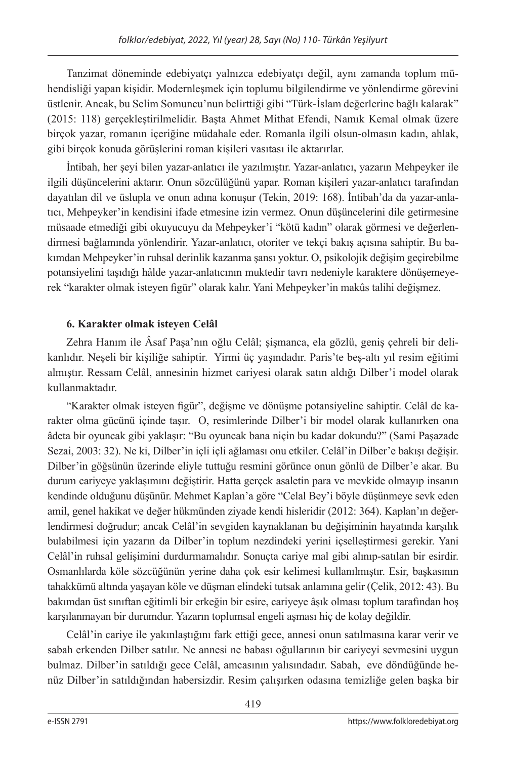Tanzimat döneminde edebiyatçı yalnızca edebiyatçı değil, aynı zamanda toplum mühendisliği yapan kişidir. Modernleşmek için toplumu bilgilendirme ve yönlendirme görevini üstlenir. Ancak, bu Selim Somuncu'nun belirttiği gibi "Türk-İslam değerlerine bağlı kalarak" (2015: 118) gerçekleştirilmelidir. Başta Ahmet Mithat Efendi, Namık Kemal olmak üzere birçok yazar, romanın içeriğine müdahale eder. Romanla ilgili olsun-olmasın kadın, ahlak, gibi birçok konuda görüşlerini roman kişileri vasıtası ile aktarırlar.

İntibah, her şeyi bilen yazar-anlatıcı ile yazılmıştır. Yazar-anlatıcı, yazarın Mehpeyker ile ilgili düşüncelerini aktarır. Onun sözcülüğünü yapar. Roman kişileri yazar-anlatıcı tarafından dayatılan dil ve üslupla ve onun adına konuşur (Tekin, 2019: 168). İntibah'da da yazar-anlatıcı, Mehpeyker'in kendisini ifade etmesine izin vermez. Onun düşüncelerini dile getirmesine müsaade etmediği gibi okuyucuyu da Mehpeyker'i "kötü kadın" olarak görmesi ve değerlendirmesi bağlamında yönlendirir. Yazar-anlatıcı, otoriter ve tekçi bakış açısına sahiptir. Bu bakımdan Mehpeyker'in ruhsal derinlik kazanma şansı yoktur. O, psikolojik değişim geçirebilme potansiyelini taşıdığı hâlde yazar-anlatıcının muktedir tavrı nedeniyle karaktere dönüşemeyerek "karakter olmak isteyen figür" olarak kalır. Yani Mehpeyker'in makûs talihi değişmez.

## **6. Karakter olmak isteyen Celâl**

Zehra Hanım ile Âsaf Paşa'nın oğlu Celâl; şişmanca, ela gözlü, geniş çehreli bir delikanlıdır. Neşeli bir kişiliğe sahiptir. Yirmi üç yaşındadır. Paris'te beş-altı yıl resim eğitimi almıştır. Ressam Celâl, annesinin hizmet cariyesi olarak satın aldığı Dilber'i model olarak kullanmaktadır.

"Karakter olmak isteyen figür", değişme ve dönüşme potansiyeline sahiptir. Celâl de karakter olma gücünü içinde taşır. O, resimlerinde Dilber'i bir model olarak kullanırken ona âdeta bir oyuncak gibi yaklaşır: "Bu oyuncak bana niçin bu kadar dokundu?" (Sami Paşazade Sezai, 2003: 32). Ne ki, Dilber'in içli içli ağlaması onu etkiler. Celâl'in Dilber'e bakışı değişir. Dilber'in göğsünün üzerinde eliyle tuttuğu resmini görünce onun gönlü de Dilber'e akar. Bu durum cariyeye yaklaşımını değiştirir. Hatta gerçek asaletin para ve mevkide olmayıp insanın kendinde olduğunu düşünür. Mehmet Kaplan'a göre "Celal Bey'i böyle düşünmeye sevk eden amil, genel hakikat ve değer hükmünden ziyade kendi hisleridir (2012: 364). Kaplan'ın değerlendirmesi doğrudur; ancak Celâl'in sevgiden kaynaklanan bu değişiminin hayatında karşılık bulabilmesi için yazarın da Dilber'in toplum nezdindeki yerini içselleştirmesi gerekir. Yani Celâl'in ruhsal gelişimini durdurmamalıdır. Sonuçta cariye mal gibi alınıp-satılan bir esirdir. Osmanlılarda köle sözcüğünün yerine daha çok esir kelimesi kullanılmıştır. Esir, başkasının tahakkümü altında yaşayan köle ve düşman elindeki tutsak anlamına gelir (Çelik, 2012: 43). Bu bakımdan üst sınıftan eğitimli bir erkeğin bir esire, cariyeye âşık olması toplum tarafından hoş karşılanmayan bir durumdur. Yazarın toplumsal engeli aşması hiç de kolay değildir.

Celâl'in cariye ile yakınlaştığını fark ettiği gece, annesi onun satılmasına karar verir ve sabah erkenden Dilber satılır. Ne annesi ne babası oğullarının bir cariyeyi sevmesini uygun bulmaz. Dilber'in satıldığı gece Celâl, amcasının yalısındadır. Sabah, eve döndüğünde henüz Dilber'in satıldığından habersizdir. Resim çalışırken odasına temizliğe gelen başka bir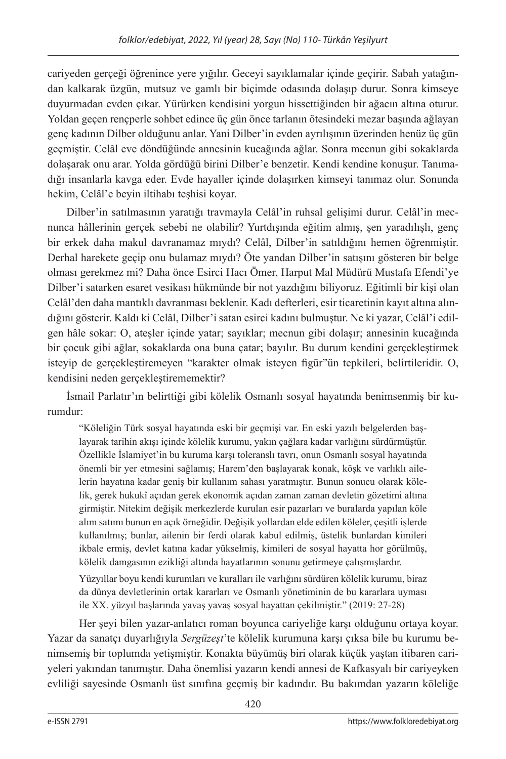cariyeden gerçeği öğrenince yere yığılır. Geceyi sayıklamalar içinde geçirir. Sabah yatağından kalkarak üzgün, mutsuz ve gamlı bir biçimde odasında dolaşıp durur. Sonra kimseye duyurmadan evden çıkar. Yürürken kendisini yorgun hissettiğinden bir ağacın altına oturur. Yoldan geçen rençperle sohbet edince üç gün önce tarlanın ötesindeki mezar başında ağlayan genç kadının Dilber olduğunu anlar. Yani Dilber'in evden ayrılışının üzerinden henüz üç gün geçmiştir. Celâl eve döndüğünde annesinin kucağında ağlar. Sonra mecnun gibi sokaklarda dolaşarak onu arar. Yolda gördüğü birini Dilber'e benzetir. Kendi kendine konuşur. Tanımadığı insanlarla kavga eder. Evde hayaller içinde dolaşırken kimseyi tanımaz olur. Sonunda hekim, Celâl'e beyin iltihabı teşhisi koyar.

Dilber'in satılmasının yaratığı travmayla Celâl'in ruhsal gelişimi durur. Celâl'in mecnunca hâllerinin gerçek sebebi ne olabilir? Yurtdışında eğitim almış, şen yaradılışlı, genç bir erkek daha makul davranamaz mıydı? Celâl, Dilber'in satıldığını hemen öğrenmiştir. Derhal harekete geçip onu bulamaz mıydı? Öte yandan Dilber'in satışını gösteren bir belge olması gerekmez mi? Daha önce Esirci Hacı Ömer, Harput Mal Müdürü Mustafa Efendi'ye Dilber'i satarken esaret vesikası hükmünde bir not yazdığını biliyoruz. Eğitimli bir kişi olan Celâl'den daha mantıklı davranması beklenir. Kadı defterleri, esir ticaretinin kayıt altına alındığını gösterir. Kaldı ki Celâl, Dilber'i satan esirci kadını bulmuştur. Ne ki yazar, Celâl'i edilgen hâle sokar: O, ateşler içinde yatar; sayıklar; mecnun gibi dolaşır; annesinin kucağında bir çocuk gibi ağlar, sokaklarda ona buna çatar; bayılır. Bu durum kendini gerçekleştirmek isteyip de gerçekleştiremeyen "karakter olmak isteyen figür"ün tepkileri, belirtileridir. O, kendisini neden gerçekleştirememektir?

İsmail Parlatır'ın belirttiği gibi kölelik Osmanlı sosyal hayatında benimsenmiş bir kurumdur:

"Köleliğin Türk sosyal hayatında eski bir geçmişi var. En eski yazılı belgelerden başlayarak tarihin akışı içinde kölelik kurumu, yakın çağlara kadar varlığını sürdürmüştür. Özellikle İslamiyet'in bu kuruma karşı toleranslı tavrı, onun Osmanlı sosyal hayatında önemli bir yer etmesini sağlamış; Harem'den başlayarak konak, köşk ve varlıklı ailelerin hayatına kadar geniş bir kullanım sahası yaratmıştır. Bunun sonucu olarak kölelik, gerek hukukî açıdan gerek ekonomik açıdan zaman zaman devletin gözetimi altına girmiştir. Nitekim değişik merkezlerde kurulan esir pazarları ve buralarda yapılan köle alım satımı bunun en açık örneğidir. Değişik yollardan elde edilen köleler, çeşitli işlerde kullanılmış; bunlar, ailenin bir ferdi olarak kabul edilmiş, üstelik bunlardan kimileri ikbale ermiş, devlet katına kadar yükselmiş, kimileri de sosyal hayatta hor görülmüş, kölelik damgasının ezikliği altında hayatlarının sonunu getirmeye çalışmışlardır.

Yüzyıllar boyu kendi kurumları ve kuralları ile varlığını sürdüren kölelik kurumu, biraz da dünya devletlerinin ortak kararları ve Osmanlı yönetiminin de bu kararlara uyması ile XX. yüzyıl başlarında yavaş yavaş sosyal hayattan çekilmiştir." (2019: 27-28)

Her şeyi bilen yazar-anlatıcı roman boyunca cariyeliğe karşı olduğunu ortaya koyar. Yazar da sanatçı duyarlığıyla *Sergüzeşt*'te kölelik kurumuna karşı çıksa bile bu kurumu benimsemiş bir toplumda yetişmiştir. Konakta büyümüş biri olarak küçük yaştan itibaren cariyeleri yakından tanımıştır. Daha önemlisi yazarın kendi annesi de Kafkasyalı bir cariyeyken evliliği sayesinde Osmanlı üst sınıfına geçmiş bir kadındır. Bu bakımdan yazarın köleliğe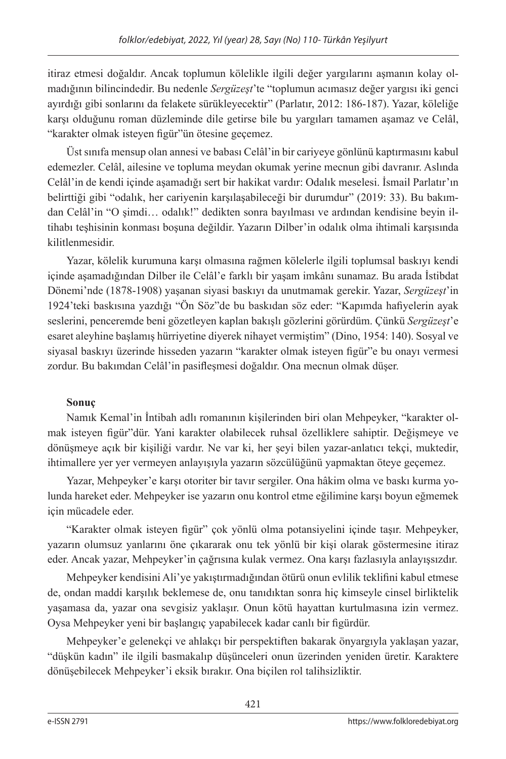itiraz etmesi doğaldır. Ancak toplumun kölelikle ilgili değer yargılarını aşmanın kolay olmadığının bilincindedir. Bu nedenle *Sergüzeşt*'te "toplumun acımasız değer yargısı iki genci ayırdığı gibi sonlarını da felakete sürükleyecektir" (Parlatır, 2012: 186-187). Yazar, köleliğe karşı olduğunu roman düzleminde dile getirse bile bu yargıları tamamen aşamaz ve Celâl, "karakter olmak isteyen figür"ün ötesine geçemez.

Üst sınıfa mensup olan annesi ve babası Celâl'in bir cariyeye gönlünü kaptırmasını kabul edemezler. Celâl, ailesine ve topluma meydan okumak yerine mecnun gibi davranır. Aslında Celâl'in de kendi içinde aşamadığı sert bir hakikat vardır: Odalık meselesi. İsmail Parlatır'ın belirttiği gibi "odalık, her cariyenin karşılaşabileceği bir durumdur" (2019: 33). Bu bakımdan Celâl'in "O şimdi… odalık!" dedikten sonra bayılması ve ardından kendisine beyin iltihabı teşhisinin konması boşuna değildir. Yazarın Dilber'in odalık olma ihtimali karşısında kilitlenmesidir.

Yazar, kölelik kurumuna karşı olmasına rağmen kölelerle ilgili toplumsal baskıyı kendi içinde aşamadığından Dilber ile Celâl'e farklı bir yaşam imkânı sunamaz. Bu arada İstibdat Dönemi'nde (1878-1908) yaşanan siyasi baskıyı da unutmamak gerekir. Yazar, *Sergüzeşt*'in 1924'teki baskısına yazdığı "Ön Söz"de bu baskıdan söz eder: "Kapımda hafiyelerin ayak seslerini, penceremde beni gözetleyen kaplan bakışlı gözlerini görürdüm. Çünkü *Sergüzeşt*'e esaret aleyhine başlamış hürriyetine diyerek nihayet vermiştim" (Dino, 1954: 140). Sosyal ve siyasal baskıyı üzerinde hisseden yazarın "karakter olmak isteyen figür"e bu onayı vermesi zordur. Bu bakımdan Celâl'in pasifleşmesi doğaldır. Ona mecnun olmak düşer.

## **Sonuç**

Namık Kemal'in İntibah adlı romanının kişilerinden biri olan Mehpeyker, "karakter olmak isteyen figür"dür. Yani karakter olabilecek ruhsal özelliklere sahiptir. Değişmeye ve dönüşmeye açık bir kişiliği vardır. Ne var ki, her şeyi bilen yazar-anlatıcı tekçi, muktedir, ihtimallere yer yer vermeyen anlayışıyla yazarın sözcülüğünü yapmaktan öteye geçemez.

Yazar, Mehpeyker'e karşı otoriter bir tavır sergiler. Ona hâkim olma ve baskı kurma yolunda hareket eder. Mehpeyker ise yazarın onu kontrol etme eğilimine karşı boyun eğmemek için mücadele eder.

"Karakter olmak isteyen figür" çok yönlü olma potansiyelini içinde taşır. Mehpeyker, yazarın olumsuz yanlarını öne çıkararak onu tek yönlü bir kişi olarak göstermesine itiraz eder. Ancak yazar, Mehpeyker'in çağrısına kulak vermez. Ona karşı fazlasıyla anlayışsızdır.

Mehpeyker kendisini Ali'ye yakıştırmadığından ötürü onun evlilik teklifini kabul etmese de, ondan maddi karşılık beklemese de, onu tanıdıktan sonra hiç kimseyle cinsel birliktelik yaşamasa da, yazar ona sevgisiz yaklaşır. Onun kötü hayattan kurtulmasına izin vermez. Oysa Mehpeyker yeni bir başlangıç yapabilecek kadar canlı bir figürdür.

Mehpeyker'e gelenekçi ve ahlakçı bir perspektiften bakarak önyargıyla yaklaşan yazar, "düşkün kadın" ile ilgili basmakalıp düşünceleri onun üzerinden yeniden üretir. Karaktere dönüşebilecek Mehpeyker'i eksik bırakır. Ona biçilen rol talihsizliktir.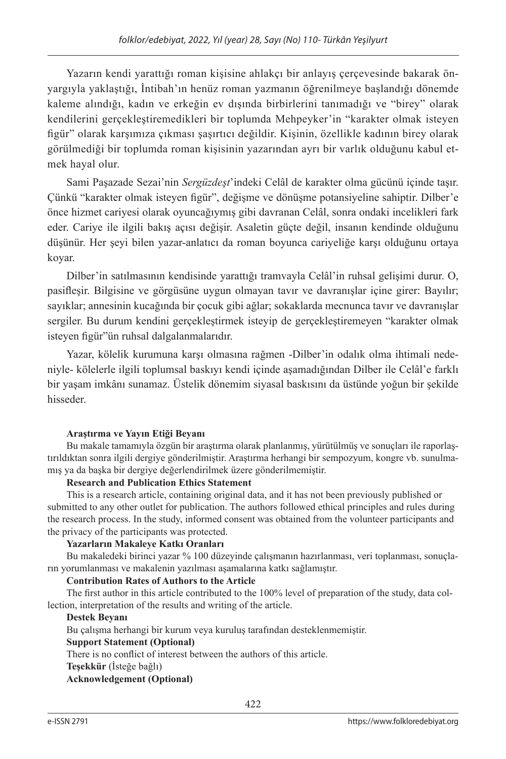Yazarın kendi yarattığı roman kişisine ahlakçı bir anlayış çerçevesinde bakarak önyargıyla yaklaştığı, İntibah'ın henüz roman yazmanın öğrenilmeye başlandığı dönemde kaleme alındığı, kadın ve erkeğin ev dışında birbirlerini tanımadığı ve "birey" olarak kendilerini gerçekleştiremedikleri bir toplumda Mehpeyker'in "karakter olmak isteyen figür" olarak karşımıza çıkması şaşırtıcı değildir. Kişinin, özellikle kadının birey olarak görülmediği bir toplumda roman kişisinin yazarından ayrı bir varlık olduğunu kabul etmek hayal olur.

Sami Paşazade Sezai'nin *Sergüzdeşt*'indeki Celâl de karakter olma gücünü içinde taşır. Çünkü "karakter olmak isteyen figür", değişme ve dönüşme potansiyeline sahiptir. Dilber'e önce hizmet cariyesi olarak oyuncağıymış gibi davranan Celâl, sonra ondaki incelikleri fark eder. Cariye ile ilgili bakış açısı değişir. Asaletin güçte değil, insanın kendinde olduğunu düşünür. Her şeyi bilen yazar-anlatıcı da roman boyunca cariyeliğe karşı olduğunu ortaya koyar.

Dilber'in satılmasının kendisinde yarattığı tramvayla Celâl'in ruhsal gelişimi durur. O, pasifleşir. Bilgisine ve görgüsüne uygun olmayan tavır ve davranışlar içine girer: Bayılır; sayıklar; annesinin kucağında bir çocuk gibi ağlar; sokaklarda mecnunca tavır ve davranışlar sergiler. Bu durum kendini gerçekleştirmek isteyip de gerçekleştiremeyen "karakter olmak isteyen figür"ün ruhsal dalgalanmalarıdır.

Yazar, kölelik kurumuna karşı olmasına rağmen -Dilber'in odalık olma ihtimali nedeniyle- kölelerle ilgili toplumsal baskıyı kendi içinde aşamadığından Dilber ile Celâl'e farklı bir yaşam imkânı sunamaz. Üstelik dönemim siyasal baskısını da üstünde yoğun bir şekilde hisseder.

#### **Araştırma ve Yayın Etiği Beyanı**

Bu makale tamamıyla özgün bir araştırma olarak planlanmış, yürütülmüş ve sonuçları ile raporlaştırıldıktan sonra ilgili dergiye gönderilmiştir. Araştırma herhangi bir sempozyum, kongre vb. sunulmamış ya da başka bir dergiye değerlendirilmek üzere gönderilmemiştir.

#### **Research and Publication Ethics Statement**

This is a research article, containing original data, and it has not been previously published or submitted to any other outlet for publication. The authors followed ethical principles and rules during the research process. In the study, informed consent was obtained from the volunteer participants and the privacy of the participants was protected.

#### **Yazarların Makaleye Katkı Oranları**

Bu makaledeki birinci yazar % 100 düzeyinde çalışmanın hazırlanması, veri toplanması, sonuçların yorumlanması ve makalenin yazılması aşamalarına katkı sağlamıştır.

#### **Contribution Rates of Authors to the Article**

The first author in this article contributed to the 100% level of preparation of the study, data collection, interpretation of the results and writing of the article.

#### **Destek Beyanı**

Bu çalışma herhangi bir kurum veya kuruluş tarafından desteklenmemiştir.

#### **Support Statement (Optional)**

There is no conflict of interest between the authors of this article.

**Teşekkür** (İsteğe bağlı)

#### **Acknowledgement (Optional)**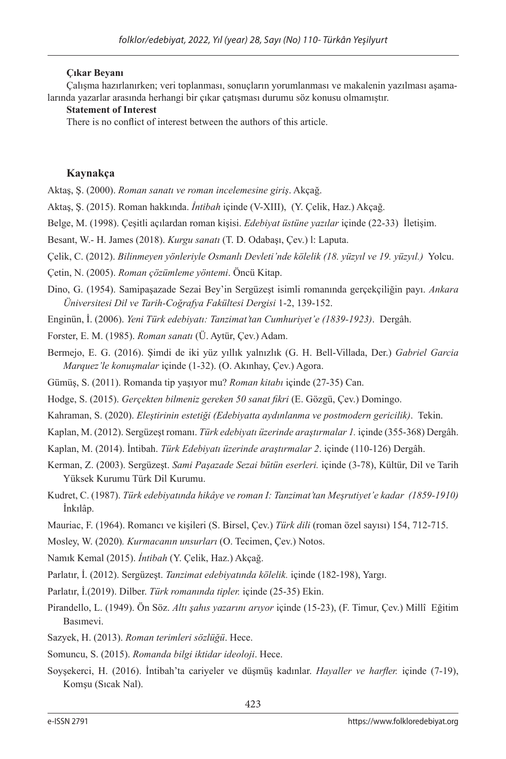#### **Çıkar Beyanı**

Çalışma hazırlanırken; veri toplanması, sonuçların yorumlanması ve makalenin yazılması aşamalarında yazarlar arasında herhangi bir çıkar çatışması durumu söz konusu olmamıştır.

#### **Statement of Interest**

There is no conflict of interest between the authors of this article.

#### **Kaynakça**

Aktaş, Ş. (2000). *Roman sanatı ve roman incelemesine giriş*. Akçağ.

Aktaş, Ş. (2015). Roman hakkında. *İntibah* içinde (V-XIII), (Y. Çelik, Haz.) Akçağ.

- Belge, M. (1998). Çeşitli açılardan roman kişisi. *Edebiyat üstüne yazılar* içinde (22-33) İletişim.
- Besant, W.- H. James (2018). *Kurgu sanatı* (T. D. Odabaşı, Çev.) l: Laputa.
- Çelik, C. (2012). *Bilinmeyen yönleriyle Osmanlı Devleti'nde kölelik (18. yüzyıl ve 19. yüzyıl.)* Yolcu.
- Çetin, N. (2005). *Roman çözümleme yöntemi*. Öncü Kitap.
- Dino, G. (1954). Samipaşazade Sezai Bey'in Sergüzeşt isimli romanında gerçekçiliğin payı. *Ankara Üniversitesi Dil ve Tarih-Coğrafya Fakültesi Dergisi* 1-2, 139-152.

Enginün, İ. (2006). *Yeni Türk edebiyatı: Tanzimat'tan Cumhuriyet'e (1839-1923)*. Dergâh.

Forster, E. M. (1985). *Roman sanatı* (Ü. Aytür, Çev.) Adam.

- Bermejo, E. G. (2016). Şimdi de iki yüz yıllık yalnızlık (G. H. Bell-Villada, Der.) *Gabriel Garcia Marquez'le konuşmalar* içinde (1-32). (O. Akınhay, Çev.) Agora.
- Gümüş, S. (2011). Romanda tip yaşıyor mu? *Roman kitabı* içinde (27-35) Can.

Hodge, S. (2015). *Gerçekten bilmeniz gereken 50 sanat fikri* (E. Gözgü, Çev.) Domingo.

- Kahraman, S. (2020). *Eleştirinin estetiği (Edebiyatta aydınlanma ve postmodern gericilik)*. Tekin.
- Kaplan, M. (2012). Sergüzeşt romanı. *Türk edebiyatı üzerinde araştırmalar 1.* içinde (355-368) Dergâh.
- Kaplan, M. (2014). İntibah. *Türk Edebiyatı üzerinde araştırmalar 2*. içinde (110-126) Dergâh.
- Kerman, Z. (2003). Sergüzeşt. *Sami Paşazade Sezai bütün eserleri.* içinde (3-78), Kültür, Dil ve Tarih Yüksek Kurumu Türk Dil Kurumu.
- Kudret, C. (1987). *Türk edebiyatında hikâye ve roman I: Tanzimat'tan Meşrutiyet'e kadar (1859-1910)* İnkılâp.
- Mauriac, F. (1964). Romancı ve kişileri (S. Birsel, Çev.) *Türk dili* (roman özel sayısı) 154, 712-715.
- Mosley, W. (2020)*. Kurmacanın unsurları* (O. Tecimen, Çev.) Notos.
- Namık Kemal (2015). *İntibah* (Y. Çelik, Haz.) Akçağ.

Parlatır, İ. (2012). Sergüzeşt. *Tanzimat edebiyatında kölelik.* içinde (182-198), Yargı.

- Parlatır, İ.(2019). Dilber. *Türk romanında tipler.* içinde (25-35) Ekin.
- Pirandello, L. (1949). Ön Söz. *Altı şahıs yazarını arıyor* içinde (15-23), (F. Timur, Çev.) Millî Eğitim Basımevi.
- Sazyek, H. (2013). *Roman terimleri sözlüğü*. Hece.

Somuncu, S. (2015). *Romanda bilgi iktidar ideoloji*. Hece.

Soyşekerci, H. (2016). İntibah'ta cariyeler ve düşmüş kadınlar. *Hayaller ve harfler.* içinde (7-19), Komşu (Sıcak Nal).